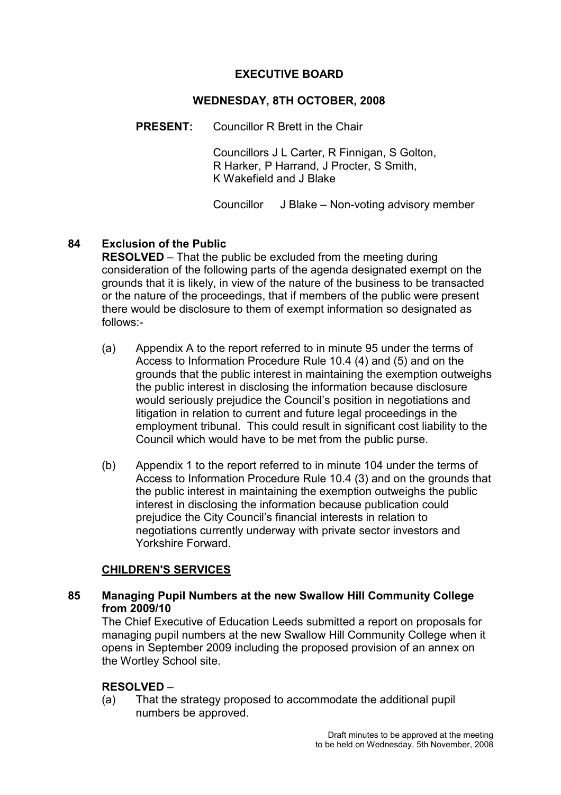#### EXECUTIVE BOARD

#### WEDNESDAY, 8TH OCTOBER, 2008

PRESENT: Councillor R Brett in the Chair

 Councillors J L Carter, R Finnigan, S Golton, R Harker, P Harrand, J Procter, S Smith, K Wakefield and J Blake

Councillor J Blake – Non-voting advisory member

#### 84 Exclusion of the Public

RESOLVED – That the public be excluded from the meeting during consideration of the following parts of the agenda designated exempt on the grounds that it is likely, in view of the nature of the business to be transacted or the nature of the proceedings, that if members of the public were present there would be disclosure to them of exempt information so designated as follows:-

- (a) Appendix A to the report referred to in minute 95 under the terms of Access to Information Procedure Rule 10.4 (4) and (5) and on the grounds that the public interest in maintaining the exemption outweighs the public interest in disclosing the information because disclosure would seriously prejudice the Council's position in negotiations and litigation in relation to current and future legal proceedings in the employment tribunal. This could result in significant cost liability to the Council which would have to be met from the public purse.
- (b) Appendix 1 to the report referred to in minute 104 under the terms of Access to Information Procedure Rule 10.4 (3) and on the grounds that the public interest in maintaining the exemption outweighs the public interest in disclosing the information because publication could prejudice the City Council's financial interests in relation to negotiations currently underway with private sector investors and Yorkshire Forward.

#### CHILDREN'S SERVICES

#### 85 Managing Pupil Numbers at the new Swallow Hill Community College from 2009/10

The Chief Executive of Education Leeds submitted a report on proposals for managing pupil numbers at the new Swallow Hill Community College when it opens in September 2009 including the proposed provision of an annex on the Wortley School site.

## RESOLVED –

(a) That the strategy proposed to accommodate the additional pupil numbers be approved.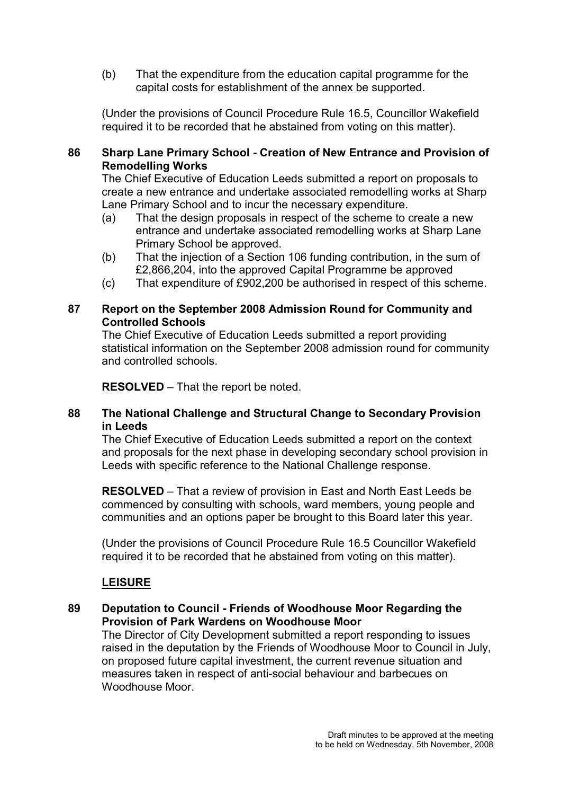(b) That the expenditure from the education capital programme for the capital costs for establishment of the annex be supported.

(Under the provisions of Council Procedure Rule 16.5, Councillor Wakefield required it to be recorded that he abstained from voting on this matter).

## 86 Sharp Lane Primary School - Creation of New Entrance and Provision of Remodelling Works

The Chief Executive of Education Leeds submitted a report on proposals to create a new entrance and undertake associated remodelling works at Sharp Lane Primary School and to incur the necessary expenditure.

- (a) That the design proposals in respect of the scheme to create a new entrance and undertake associated remodelling works at Sharp Lane Primary School be approved.
- (b) That the injection of a Section 106 funding contribution, in the sum of £2,866,204, into the approved Capital Programme be approved
- (c) That expenditure of £902,200 be authorised in respect of this scheme.

#### 87 Report on the September 2008 Admission Round for Community and Controlled Schools

The Chief Executive of Education Leeds submitted a report providing statistical information on the September 2008 admission round for community and controlled schools.

RESOLVED – That the report be noted.

### 88 The National Challenge and Structural Change to Secondary Provision in Leeds

The Chief Executive of Education Leeds submitted a report on the context and proposals for the next phase in developing secondary school provision in Leeds with specific reference to the National Challenge response.

RESOLVED – That a review of provision in East and North East Leeds be commenced by consulting with schools, ward members, young people and communities and an options paper be brought to this Board later this year.

(Under the provisions of Council Procedure Rule 16.5 Councillor Wakefield required it to be recorded that he abstained from voting on this matter).

## LEISURE

## 89 Deputation to Council - Friends of Woodhouse Moor Regarding the Provision of Park Wardens on Woodhouse Moor

The Director of City Development submitted a report responding to issues raised in the deputation by the Friends of Woodhouse Moor to Council in July, on proposed future capital investment, the current revenue situation and measures taken in respect of anti-social behaviour and barbecues on Woodhouse Moor.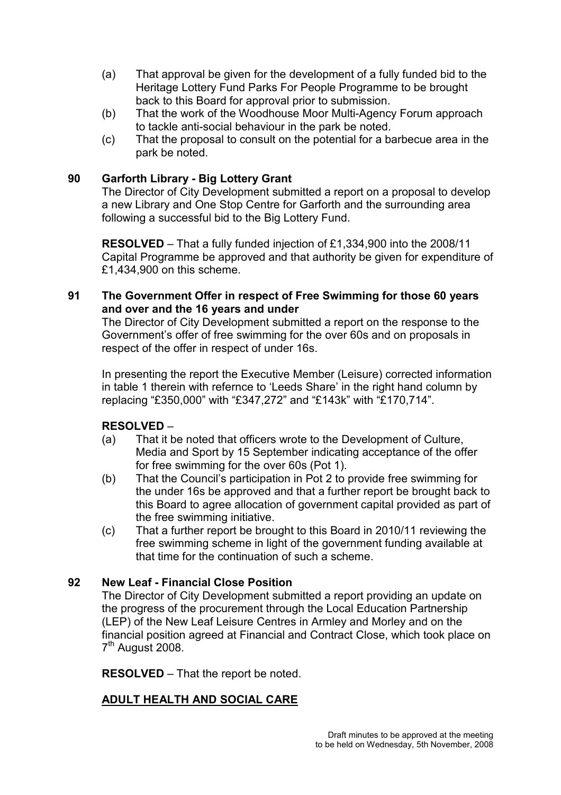- (a) That approval be given for the development of a fully funded bid to the Heritage Lottery Fund Parks For People Programme to be brought back to this Board for approval prior to submission.
- (b) That the work of the Woodhouse Moor Multi-Agency Forum approach to tackle anti-social behaviour in the park be noted.
- (c) That the proposal to consult on the potential for a barbecue area in the park be noted.

## 90 Garforth Library - Big Lottery Grant

The Director of City Development submitted a report on a proposal to develop a new Library and One Stop Centre for Garforth and the surrounding area following a successful bid to the Big Lottery Fund.

RESOLVED – That a fully funded injection of £1,334,900 into the 2008/11 Capital Programme be approved and that authority be given for expenditure of £1,434,900 on this scheme.

## 91 The Government Offer in respect of Free Swimming for those 60 years and over and the 16 years and under

The Director of City Development submitted a report on the response to the Government's offer of free swimming for the over 60s and on proposals in respect of the offer in respect of under 16s.

In presenting the report the Executive Member (Leisure) corrected information in table 1 therein with refernce to 'Leeds Share' in the right hand column by replacing "£350,000" with "£347,272" and "£143k" with "£170,714".

## RESOLVED –

- (a) That it be noted that officers wrote to the Development of Culture, Media and Sport by 15 September indicating acceptance of the offer for free swimming for the over 60s (Pot 1).
- (b) That the Council's participation in Pot 2 to provide free swimming for the under 16s be approved and that a further report be brought back to this Board to agree allocation of government capital provided as part of the free swimming initiative.
- (c) That a further report be brought to this Board in 2010/11 reviewing the free swimming scheme in light of the government funding available at that time for the continuation of such a scheme.

## 92 New Leaf - Financial Close Position

The Director of City Development submitted a report providing an update on the progress of the procurement through the Local Education Partnership (LEP) of the New Leaf Leisure Centres in Armley and Morley and on the financial position agreed at Financial and Contract Close, which took place on 7<sup>th</sup> August 2008.

RESOLVED – That the report be noted.

## ADULT HEALTH AND SOCIAL CARE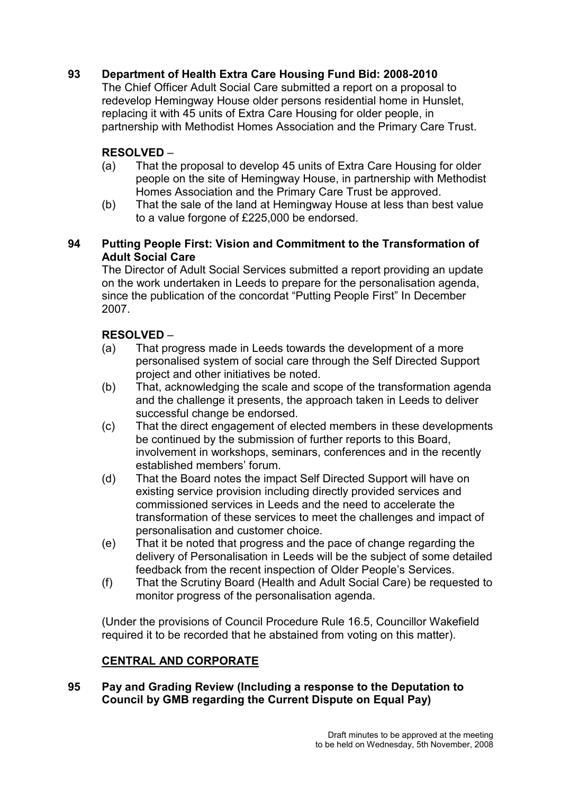# 93 Department of Health Extra Care Housing Fund Bid: 2008-2010

The Chief Officer Adult Social Care submitted a report on a proposal to redevelop Hemingway House older persons residential home in Hunslet, replacing it with 45 units of Extra Care Housing for older people, in partnership with Methodist Homes Association and the Primary Care Trust.

## RESOLVED –

- (a) That the proposal to develop 45 units of Extra Care Housing for older people on the site of Hemingway House, in partnership with Methodist Homes Association and the Primary Care Trust be approved.
- (b) That the sale of the land at Hemingway House at less than best value to a value forgone of £225,000 be endorsed.

### 94 Putting People First: Vision and Commitment to the Transformation of Adult Social Care

The Director of Adult Social Services submitted a report providing an update on the work undertaken in Leeds to prepare for the personalisation agenda, since the publication of the concordat "Putting People First" In December 2007.

## RESOLVED –

- (a) That progress made in Leeds towards the development of a more personalised system of social care through the Self Directed Support project and other initiatives be noted.
- (b) That, acknowledging the scale and scope of the transformation agenda and the challenge it presents, the approach taken in Leeds to deliver successful change be endorsed.
- (c) That the direct engagement of elected members in these developments be continued by the submission of further reports to this Board, involvement in workshops, seminars, conferences and in the recently established members' forum.
- (d) That the Board notes the impact Self Directed Support will have on existing service provision including directly provided services and commissioned services in Leeds and the need to accelerate the transformation of these services to meet the challenges and impact of personalisation and customer choice.
- (e) That it be noted that progress and the pace of change regarding the delivery of Personalisation in Leeds will be the subject of some detailed feedback from the recent inspection of Older People's Services.
- (f) That the Scrutiny Board (Health and Adult Social Care) be requested to monitor progress of the personalisation agenda.

(Under the provisions of Council Procedure Rule 16.5, Councillor Wakefield required it to be recorded that he abstained from voting on this matter).

## CENTRAL AND CORPORATE

### 95 Pay and Grading Review (Including a response to the Deputation to Council by GMB regarding the Current Dispute on Equal Pay)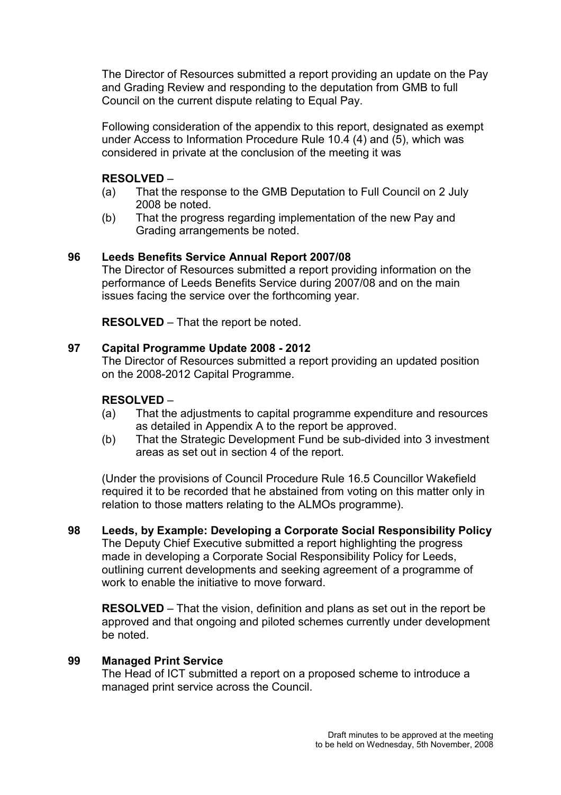The Director of Resources submitted a report providing an update on the Pay and Grading Review and responding to the deputation from GMB to full Council on the current dispute relating to Equal Pay.

Following consideration of the appendix to this report, designated as exempt under Access to Information Procedure Rule 10.4 (4) and (5), which was considered in private at the conclusion of the meeting it was

## RESOLVED –

- (a) That the response to the GMB Deputation to Full Council on 2 July 2008 be noted.
- (b) That the progress regarding implementation of the new Pay and Grading arrangements be noted.

### 96 Leeds Benefits Service Annual Report 2007/08

The Director of Resources submitted a report providing information on the performance of Leeds Benefits Service during 2007/08 and on the main issues facing the service over the forthcoming year.

RESOLVED – That the report be noted.

### 97 Capital Programme Update 2008 - 2012

The Director of Resources submitted a report providing an updated position on the 2008-2012 Capital Programme.

## RESOLVED –

- (a) That the adjustments to capital programme expenditure and resources as detailed in Appendix A to the report be approved.
- (b) That the Strategic Development Fund be sub-divided into 3 investment areas as set out in section 4 of the report.

(Under the provisions of Council Procedure Rule 16.5 Councillor Wakefield required it to be recorded that he abstained from voting on this matter only in relation to those matters relating to the ALMOs programme).

98 Leeds, by Example: Developing a Corporate Social Responsibility Policy The Deputy Chief Executive submitted a report highlighting the progress made in developing a Corporate Social Responsibility Policy for Leeds, outlining current developments and seeking agreement of a programme of work to enable the initiative to move forward.

RESOLVED – That the vision, definition and plans as set out in the report be approved and that ongoing and piloted schemes currently under development be noted.

#### 99 Managed Print Service

The Head of ICT submitted a report on a proposed scheme to introduce a managed print service across the Council.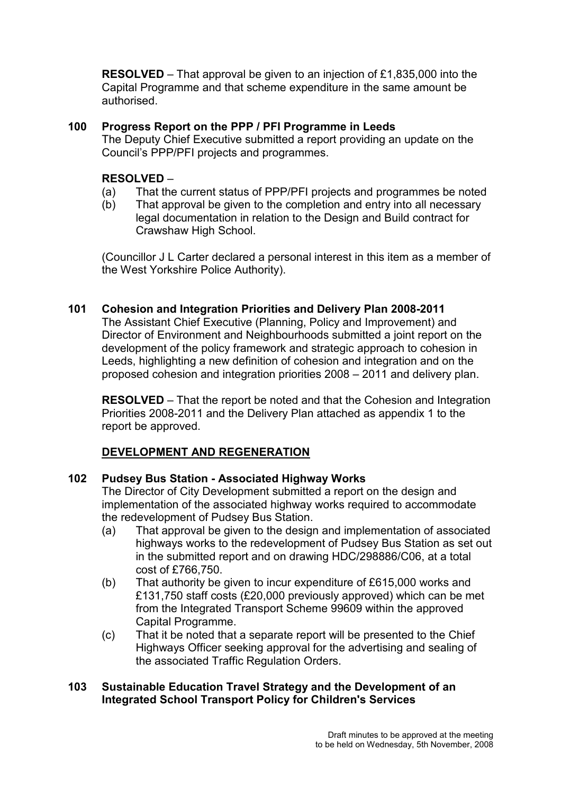RESOLVED – That approval be given to an injection of £1,835,000 into the Capital Programme and that scheme expenditure in the same amount be authorised.

100 Progress Report on the PPP / PFI Programme in Leeds The Deputy Chief Executive submitted a report providing an update on the

Council's PPP/PFI projects and programmes.

#### RESOLVED –

- (a) That the current status of PPP/PFI projects and programmes be noted
- (b) That approval be given to the completion and entry into all necessary legal documentation in relation to the Design and Build contract for Crawshaw High School.

(Councillor J L Carter declared a personal interest in this item as a member of the West Yorkshire Police Authority).

#### 101 Cohesion and Integration Priorities and Delivery Plan 2008-2011

The Assistant Chief Executive (Planning, Policy and Improvement) and Director of Environment and Neighbourhoods submitted a joint report on the development of the policy framework and strategic approach to cohesion in Leeds, highlighting a new definition of cohesion and integration and on the proposed cohesion and integration priorities 2008 – 2011 and delivery plan.

RESOLVED – That the report be noted and that the Cohesion and Integration Priorities 2008-2011 and the Delivery Plan attached as appendix 1 to the report be approved.

## DEVELOPMENT AND REGENERATION

#### 102 Pudsey Bus Station - Associated Highway Works

The Director of City Development submitted a report on the design and implementation of the associated highway works required to accommodate the redevelopment of Pudsey Bus Station.

- (a) That approval be given to the design and implementation of associated highways works to the redevelopment of Pudsey Bus Station as set out in the submitted report and on drawing HDC/298886/C06, at a total cost of £766,750.
- (b) That authority be given to incur expenditure of £615,000 works and £131,750 staff costs (£20,000 previously approved) which can be met from the Integrated Transport Scheme 99609 within the approved Capital Programme.
- (c) That it be noted that a separate report will be presented to the Chief Highways Officer seeking approval for the advertising and sealing of the associated Traffic Regulation Orders.

#### 103 Sustainable Education Travel Strategy and the Development of an Integrated School Transport Policy for Children's Services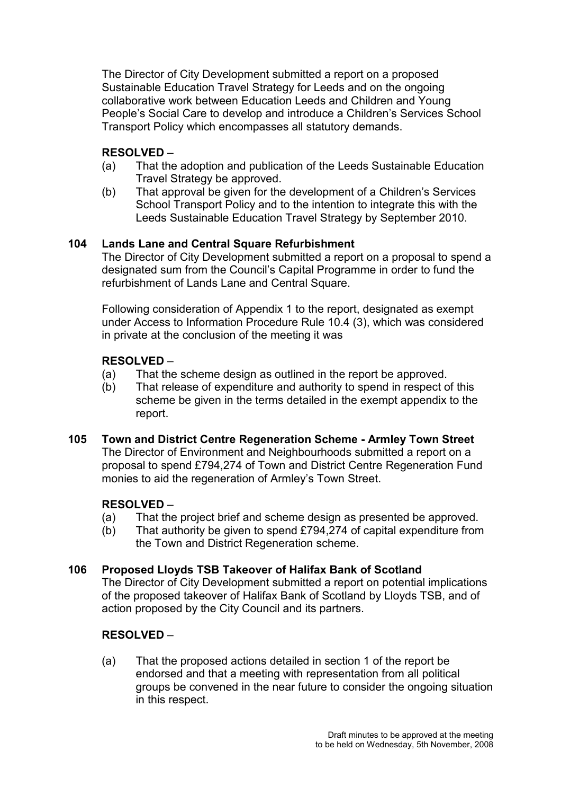The Director of City Development submitted a report on a proposed Sustainable Education Travel Strategy for Leeds and on the ongoing collaborative work between Education Leeds and Children and Young People's Social Care to develop and introduce a Children's Services School Transport Policy which encompasses all statutory demands.

# RESOLVED –

- (a) That the adoption and publication of the Leeds Sustainable Education Travel Strategy be approved.
- (b) That approval be given for the development of a Children's Services School Transport Policy and to the intention to integrate this with the Leeds Sustainable Education Travel Strategy by September 2010.

## 104 Lands Lane and Central Square Refurbishment

The Director of City Development submitted a report on a proposal to spend a designated sum from the Council's Capital Programme in order to fund the refurbishment of Lands Lane and Central Square.

Following consideration of Appendix 1 to the report, designated as exempt under Access to Information Procedure Rule 10.4 (3), which was considered in private at the conclusion of the meeting it was

## RESOLVED –

- (a) That the scheme design as outlined in the report be approved.
- (b) That release of expenditure and authority to spend in respect of this scheme be given in the terms detailed in the exempt appendix to the report.
- 105 Town and District Centre Regeneration Scheme Armley Town Street The Director of Environment and Neighbourhoods submitted a report on a proposal to spend £794,274 of Town and District Centre Regeneration Fund monies to aid the regeneration of Armley's Town Street.

# RESOLVED –

- (a) That the project brief and scheme design as presented be approved.
- (b) That authority be given to spend £794,274 of capital expenditure from the Town and District Regeneration scheme.

# 106 Proposed Lloyds TSB Takeover of Halifax Bank of Scotland

The Director of City Development submitted a report on potential implications of the proposed takeover of Halifax Bank of Scotland by Lloyds TSB, and of action proposed by the City Council and its partners.

## RESOLVED –

(a) That the proposed actions detailed in section 1 of the report be endorsed and that a meeting with representation from all political groups be convened in the near future to consider the ongoing situation in this respect.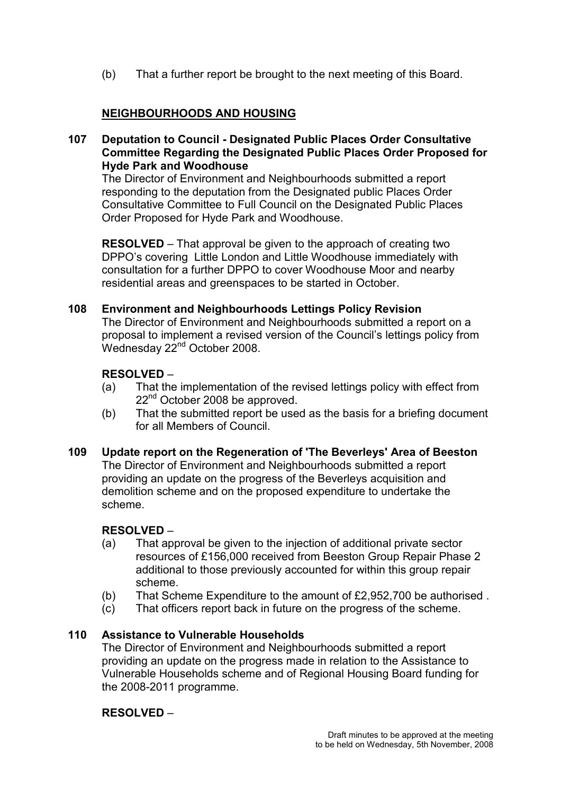(b) That a further report be brought to the next meeting of this Board.

# NEIGHBOURHOODS AND HOUSING

107 Deputation to Council - Designated Public Places Order Consultative Committee Regarding the Designated Public Places Order Proposed for Hyde Park and Woodhouse

The Director of Environment and Neighbourhoods submitted a report responding to the deputation from the Designated public Places Order Consultative Committee to Full Council on the Designated Public Places Order Proposed for Hyde Park and Woodhouse.

RESOLVED – That approval be given to the approach of creating two DPPO's covering Little London and Little Woodhouse immediately with consultation for a further DPPO to cover Woodhouse Moor and nearby residential areas and greenspaces to be started in October.

#### 108 Environment and Neighbourhoods Lettings Policy Revision

The Director of Environment and Neighbourhoods submitted a report on a proposal to implement a revised version of the Council's lettings policy from Wednesday 22<sup>nd</sup> October 2008.

#### RESOLVED –

- (a) That the implementation of the revised lettings policy with effect from 22<sup>nd</sup> October 2008 be approved.
- (b) That the submitted report be used as the basis for a briefing document for all Members of Council.

#### 109 Update report on the Regeneration of 'The Beverleys' Area of Beeston

The Director of Environment and Neighbourhoods submitted a report providing an update on the progress of the Beverleys acquisition and demolition scheme and on the proposed expenditure to undertake the scheme.

#### RESOLVED –

- (a) That approval be given to the injection of additional private sector resources of £156,000 received from Beeston Group Repair Phase 2 additional to those previously accounted for within this group repair scheme.
- (b) That Scheme Expenditure to the amount of £2,952,700 be authorised .
- (c) That officers report back in future on the progress of the scheme.

#### 110 Assistance to Vulnerable Households

The Director of Environment and Neighbourhoods submitted a report providing an update on the progress made in relation to the Assistance to Vulnerable Households scheme and of Regional Housing Board funding for the 2008-2011 programme.

#### RESOLVED –